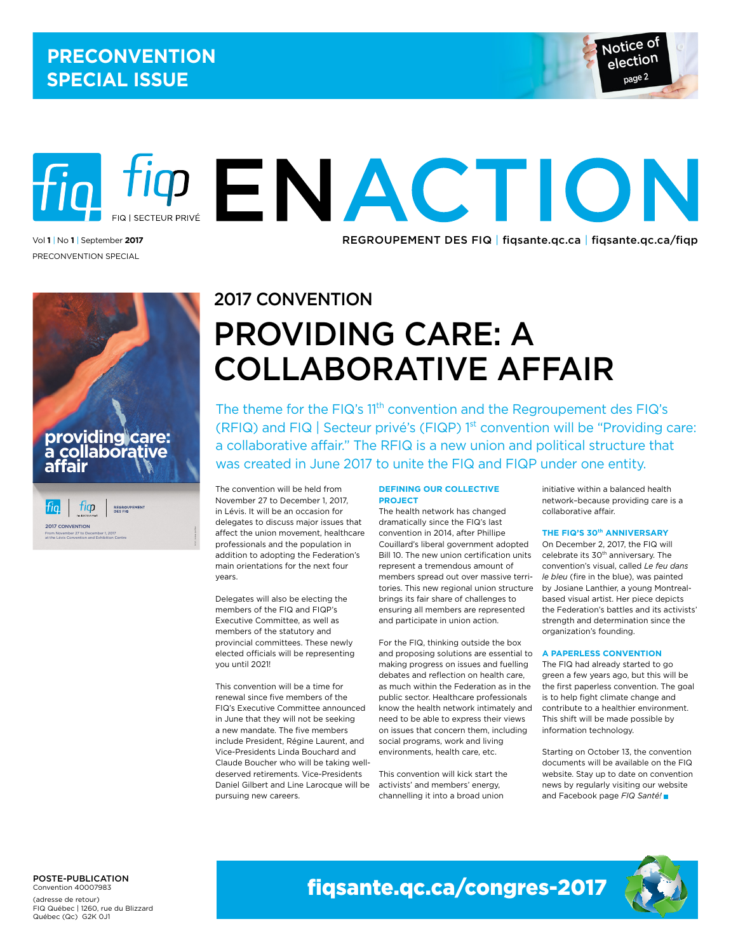

# iq tig ENACTION Vol1 | No 1 | September 2017 **12 | September 2017 REGROUPEMENT DES FIQ | fiqsante.qc.ca | fiqsante.qc.ca/fiqp**

Preconvention Special



### 2017 Convention

## Providing care: a collaborative affair

The theme for the FIQ's 11<sup>th</sup> convention and the Regroupement des FIQ's (RFIQ) and FIQ | Secteur privé's (FIQP)  $1<sup>st</sup>$  convention will be "Providing care: a collaborative affair." The RFIQ is a new union and political structure that was created in June 2017 to unite the FIQ and FIQP under one entity.

The convention will be held from November 27 to December 1, 2017, in Lévis. It will be an occasion for delegates to discuss major issues that affect the union movement, healthcare professionals and the population in addition to adopting the Federation's main orientations for the next four years.

Delegates will also be electing the members of the FIQ and FIQP's Executive Committee, as well as members of the statutory and provincial committees. These newly elected officials will be representing you until 2021!

This convention will be a time for renewal since five members of the FIQ's Executive Committee announced in June that they will not be seeking a new mandate. The five members include President, Régine Laurent, and Vice-Presidents Linda Bouchard and Claude Boucher who will be taking welldeserved retirements. Vice-Presidents Daniel Gilbert and Line Larocque will be pursuing new careers.

#### **Defining our collective project**

The health network has changed dramatically since the FIQ's last convention in 2014, after Phillipe Couillard's liberal government adopted Bill 10. The new union certification units represent a tremendous amount of members spread out over massive territories. This new regional union structure brings its fair share of challenges to ensuring all members are represented and participate in union action.

For the FIQ, thinking outside the box and proposing solutions are essential to making progress on issues and fuelling debates and reflection on health care, as much within the Federation as in the public sector. Healthcare professionals know the health network intimately and need to be able to express their views on issues that concern them, including social programs, work and living environments, health care, etc.

This convention will kick start the activists' and members' energy, channelling it into a broad union

initiative within a balanced health network–because providing care is a collaborative affair.

#### **THE FIQ'S 30<sup>th</sup> ANNIVERSARY**

On December 2, 2017, the FIQ will celebrate its 30<sup>th</sup> anniversary. The convention's visual, called *Le feu dans le bleu* (fire in the blue), was painted by Josiane Lanthier, a young Montrealbased visual artist. Her piece depicts the Federation's battles and its activists' strength and determination since the organization's founding.

#### **A paperless convention**

The FIQ had already started to go green a few years ago, but this will be the first paperless convention. The goal is to help fight climate change and contribute to a healthier environment. This shift will be made possible by information technology.

Starting on October 13, the convention documents will be available on the FIQ website. Stay up to date on convention news by regularly visiting our website and Facebook page *FIQ Santé!*

#### POSTE-PUBLICATION Convention 40007983

(adresse de retour) FIQ Québec | 1260, rue du Blizzard Québec (Qc) G2K 0J1

fiqsante.qc.ca/congres-2017